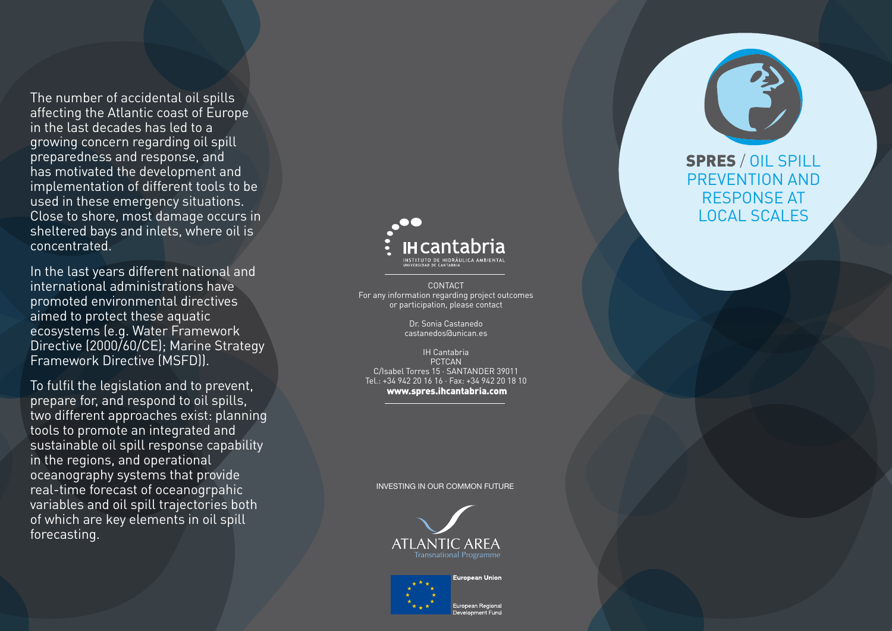The number of accidental oil spills affecting the Atlantic coast of Europe in the last decades has led to a growing concern regarding oil spill preparedness and response, and has motivated the development and implementation of different tools to be used in these emergency situations. Close to shore, most damage occurs in sheltered bays and inlets, where oil is concentrated. In the last years different national and

international administrations have promoted environmental directives aimed to protect these aquatic Directive (2000/60/CE); Marine Strategy Framework Directive (MSF D)).

To fulfil the legislation and to prevent, prepare for, and respond to oil spills, two different approaches exist: planning tools to promote an integrated and sustainable oil spill response capability in the regions, and operational oceanography systems that provide real-time forecast of oceanogrpahic variables and oil spill trajectories both of which are key elements in oil spill forecasting.



CONTACT For any information regarding project outcomes or participation, please contact Dr. Sonia Castanedo

castanedos@unican.es

IH Cantabria PCTCAN C / Isabel Torres 15 · Santander 39011 Tel.: +34 942 20 16 16 · Fax: +34 942 20 18 10 www.spres.ihcantabria.com

INVESTING IN OUR COMMON FUTURE





uropean Regional า<br>คงค์ดอกคาร Func **SPRES** / OIL SPILL<br>PREVENTION AND<br>RESPONSE AT Local Scale s